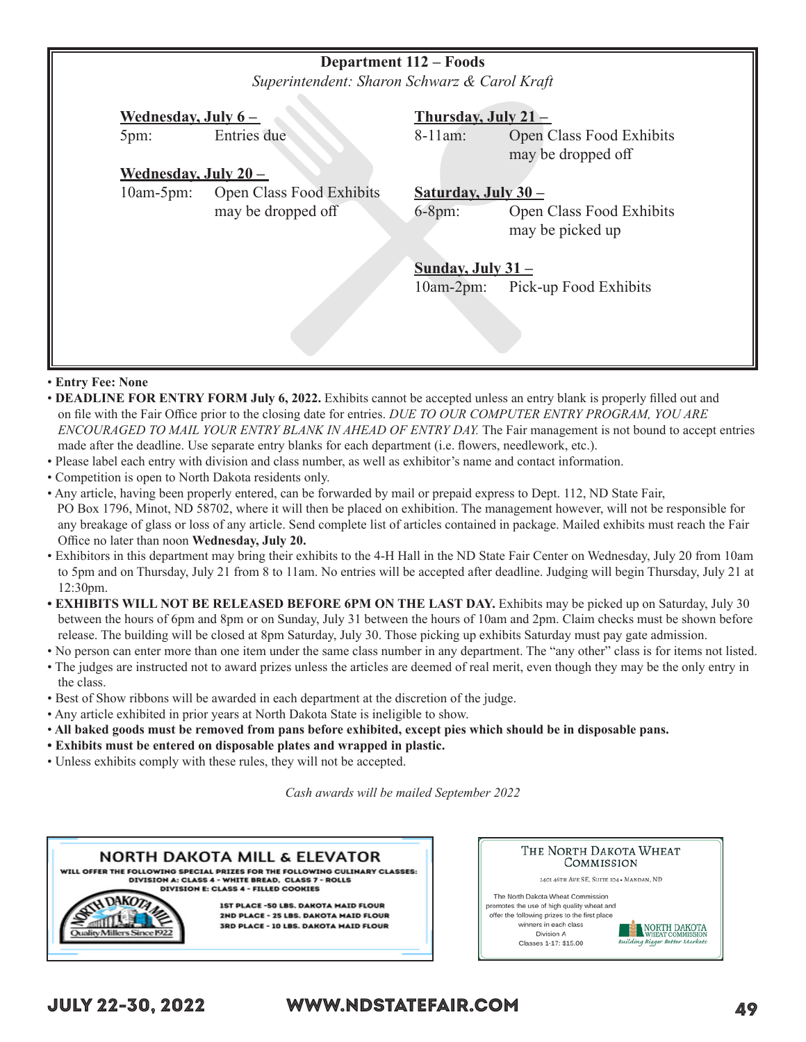|              | <b>Department 112 – Foods</b><br>Superintendent: Sharon Schwarz & Carol Kraft |                                    |                                              |  |  |
|--------------|-------------------------------------------------------------------------------|------------------------------------|----------------------------------------------|--|--|
|              | <u>Wednesday, July 6 –</u>                                                    |                                    | Thursday, July 21-                           |  |  |
| 5pm:         | Entries due                                                                   | $8-11$ am:                         | Open Class Food Exhibits                     |  |  |
|              |                                                                               |                                    | may be dropped off                           |  |  |
|              | <u>Wednesday, July 20 – </u>                                                  |                                    |                                              |  |  |
| $10am-5pm$ : | Open Class Food Exhibits                                                      | Saturday, July $30 -$              |                                              |  |  |
|              | may be dropped off                                                            | $6-8pm:$                           | Open Class Food Exhibits<br>may be picked up |  |  |
|              |                                                                               | Sunday, July $31 -$<br>$10am-2pm:$ | Pick-up Food Exhibits                        |  |  |
|              |                                                                               |                                    |                                              |  |  |

### • **Entry Fee: None**

- • **DEADLINE FOR ENTRY FORM July 6, 2022.** Exhibits cannot be accepted unless an entry blank is properly filled out and on file with the Fair Office prior to the closing date for entries. *DUE TO OUR COMPUTER ENTRY PROGRAM, YOU ARE ENCOURAGED TO MAIL YOUR ENTRY BLANK IN AHEAD OF ENTRY DAY.* The Fair management is not bound to accept entries made after the deadline. Use separate entry blanks for each department (i.e. flowers, needlework, etc.).
- Please label each entry with division and class number, as well as exhibitor's name and contact information.
- Competition is open to North Dakota residents only.
- Any article, having been properly entered, can be forwarded by mail or prepaid express to Dept. 112, ND State Fair, PO Box 1796, Minot, ND 58702, where it will then be placed on exhibition. The management however, will not be responsible for any breakage of glass or loss of any article. Send complete list of articles contained in package. Mailed exhibits must reach the Fair Office no later than noon **Wednesday, July 20.**
- Exhibitors in this department may bring their exhibits to the 4-H Hall in the ND State Fair Center on Wednesday, July 20 from 10am to 5pm and on Thursday, July 21 from 8 to 11am. No entries will be accepted after deadline. Judging will begin Thursday, July 21 at 12:30pm.
- **EXHIBITS WILL NOT BE RELEASED BEFORE 6PM ON THE LAST DAY.** Exhibits may be picked up on Saturday, July 30 between the hours of 6pm and 8pm or on Sunday, July 31 between the hours of 10am and 2pm. Claim checks must be shown before release. The building will be closed at 8pm Saturday, July 30. Those picking up exhibits Saturday must pay gate admission.
- No person can enter more than one item under the same class number in any department. The "any other" class is for items not listed.
- The judges are instructed not to award prizes unless the articles are deemed of real merit, even though they may be the only entry in the class.
- Best of Show ribbons will be awarded in each department at the discretion of the judge.
- Any article exhibited in prior years at North Dakota State is ineligible to show.
- • **All baked goods must be removed from pans before exhibited, except pies which should be in disposable pans.**
- **Exhibits must be entered on disposable plates and wrapped in plastic.**
- Unless exhibits comply with these rules, they will not be accepted.

*Cash awards will be mailed September 2022*



| THE NORTH DAKOTA WHEAT<br>COMMISSION                                                                                                                                                                                                                                                                                      |  |  |  |
|---------------------------------------------------------------------------------------------------------------------------------------------------------------------------------------------------------------------------------------------------------------------------------------------------------------------------|--|--|--|
| 2401 46TH AVE SE, SUITE 104 . MANDAN, ND<br>The North Dakota Wheat Commission<br>promotes the use of high quality wheat and<br>offer the following prizes to the first place<br>winners in each class<br>NORTH DAKOTA<br>Division A<br><b>WHEAT COMMISSION</b><br>Building Bigger Better Markets<br>Classes 1-17: \$15.00 |  |  |  |

# JULY 22-30, 2022 WWW.NDSTATEFAIR.COM 49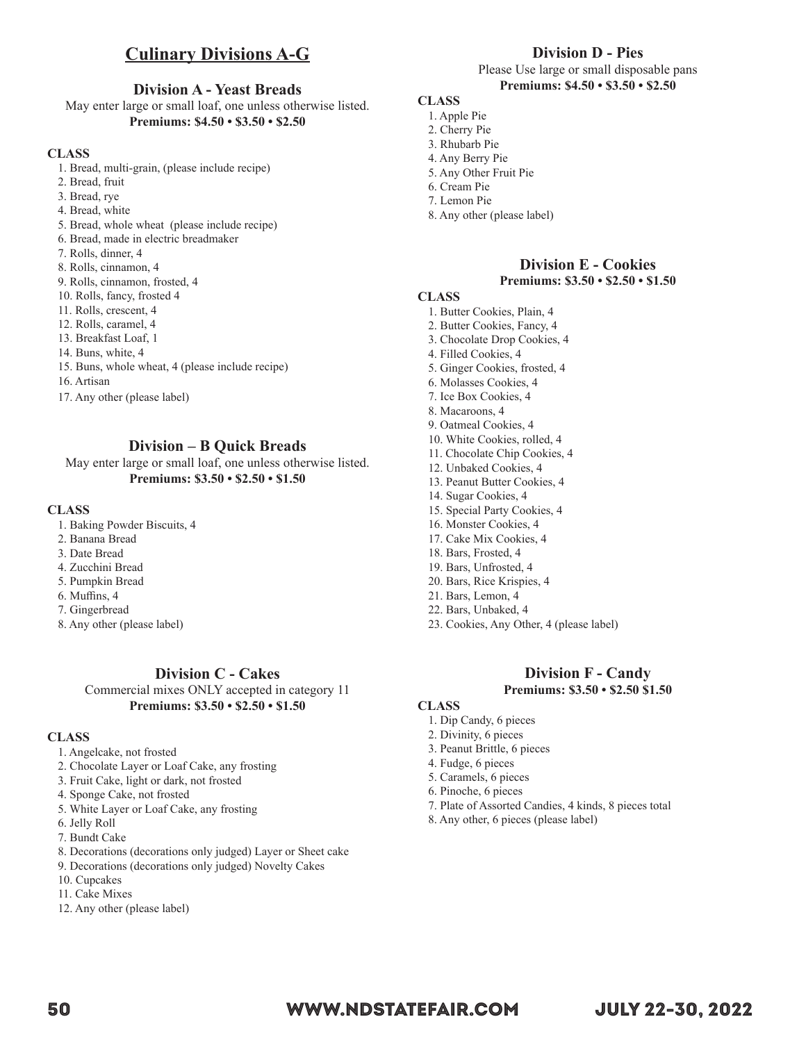# **Culinary Divisions A-G**

## **Division A - Yeast Breads**

May enter large or small loaf, one unless otherwise listed. **Premiums: \$4.50 • \$3.50 • \$2.50**

#### **CLASS**

- 1. Bread, multi-grain, (please include recipe)
- 2. Bread, fruit
- 3. Bread, rye
- 4. Bread, white
- 5. Bread, whole wheat (please include recipe)
- 6. Bread, made in electric breadmaker
- 7. Rolls, dinner, 4
- 8. Rolls, cinnamon, 4
- 9. Rolls, cinnamon, frosted, 4
- 10. Rolls, fancy, frosted 4
- 11. Rolls, crescent, 4
- 12. Rolls, caramel, 4
- 13. Breakfast Loaf, 1
- 14. Buns, white, 4
- 15. Buns, whole wheat, 4 (please include recipe)
- 16. Artisan
- 17. Any other (please label)

## **Division – B Quick Breads**

May enter large or small loaf, one unless otherwise listed. **Premiums: \$3.50 • \$2.50 • \$1.50**

#### **CLASS**

- 1. Baking Powder Biscuits, 4
- 2. Banana Bread
- 3. Date Bread
- 4. Zucchini Bread
- 5. Pumpkin Bread
- 6. Muffins, 4
- 7. Gingerbread
- 8. Any other (please label)

# **Division C - Cakes**

Commercial mixes ONLY accepted in category 11 **Premiums: \$3.50 • \$2.50 • \$1.50**

#### **CLASS**

- 1. Angelcake, not frosted
- 2. Chocolate Layer or Loaf Cake, any frosting
- 3. Fruit Cake, light or dark, not frosted
- 4. Sponge Cake, not frosted
- 5. White Layer or Loaf Cake, any frosting
- 6. Jelly Roll
- 7. Bundt Cake
- 8. Decorations (decorations only judged) Layer or Sheet cake
- 9. Decorations (decorations only judged) Novelty Cakes
- 10. Cupcakes
- 11. Cake Mixes
- 12. Any other (please label)

# **Division D - Pies**

Please Use large or small disposable pans **Premiums: \$4.50 • \$3.50 • \$2.50**

# **CLASS**

- 1. Apple Pie 2. Cherry Pie
- 3. Rhubarb Pie
- 4. Any Berry Pie
- 5. Any Other Fruit Pie
- 6. Cream Pie
- 7. Lemon Pie
- 8. Any other (please label)

# **Division E - Cookies**

### **Premiums: \$3.50 • \$2.50 • \$1.50**

# **CLASS**

- 1. Butter Cookies, Plain, 4
- 2. Butter Cookies, Fancy, 4
- 3. Chocolate Drop Cookies, 4
- 4. Filled Cookies, 4
- 5. Ginger Cookies, frosted, 4
- 6. Molasses Cookies, 4
- 7. Ice Box Cookies, 4
- 8. Macaroons, 4
- 9. Oatmeal Cookies, 4
- 10. White Cookies, rolled, 4
- 11. Chocolate Chip Cookies, 4
- 12. Unbaked Cookies, 4
- 13. Peanut Butter Cookies, 4
- 14. Sugar Cookies, 4
- 15. Special Party Cookies, 4
- 16. Monster Cookies, 4
- 17. Cake Mix Cookies, 4
- 18. Bars, Frosted, 4
- 19. Bars, Unfrosted, 4 20. Bars, Rice Krispies, 4
- 21. Bars, Lemon, 4
- 22. Bars, Unbaked, 4
- 23. Cookies, Any Other, 4 (please label)

### **Division F - Candy Premiums: \$3.50 • \$2.50 \$1.50**

#### **CLASS**

- 1. Dip Candy, 6 pieces
- 2. Divinity, 6 pieces
- 3. Peanut Brittle, 6 pieces
- 4. Fudge, 6 pieces
- 5. Caramels, 6 pieces
- 6. Pinoche, 6 pieces
- 7. Plate of Assorted Candies, 4 kinds, 8 pieces total
- 8. Any other, 6 pieces (please label)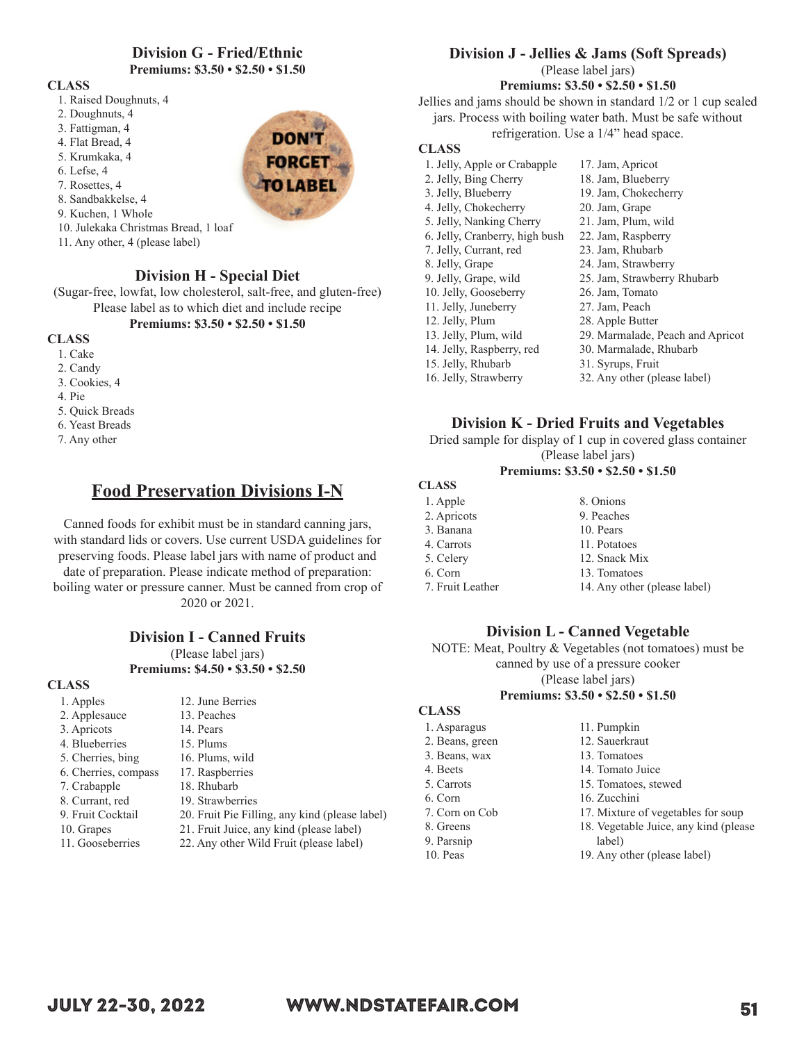# **Division G - Fried/Ethnic**

**Premiums: \$3.50 • \$2.50 • \$1.50**

#### **CLASS**

- 1. Raised Doughnuts, 4
- 2. Doughnuts, 4
- 3. Fattigman, 4
- 4. Flat Bread, 4
- 5. Krumkaka, 4
- 6. Lefse, 4
- 7. Rosettes, 4
- 8. Sandbakkelse, 4
- 9. Kuchen, 1 Whole
- 10. Julekaka Christmas Bread, 1 loaf
- 11. Any other, 4 (please label)

# **Division H - Special Diet**

(Sugar-free, lowfat, low cholesterol, salt-free, and gluten-free) Please label as to which diet and include recipe

# **Premiums: \$3.50 • \$2.50 • \$1.50**

- **CLASS**
	- 1. Cake
	- 2. Candy
	- 3. Cookies, 4
	- 4. Pie
	- 5. Quick Breads
	- 6. Yeast Breads
	- 7. Any other

# **Food Preservation Divisions I-N**

Canned foods for exhibit must be in standard canning jars, with standard lids or covers. Use current USDA guidelines for preserving foods. Please label jars with name of product and

date of preparation. Please indicate method of preparation: boiling water or pressure canner. Must be canned from crop of 2020 or 2021.

# **Division I - Canned Fruits**

(Please label jars) **Premiums: \$4.50 • \$3.50 • \$2.50**

#### **CLASS**

| 1. Apples            | 12. June Berries                               |
|----------------------|------------------------------------------------|
| 2. Applesauce        | 13. Peaches                                    |
| 3. Apricots          | 14. Pears                                      |
| 4. Blueberries       | 15. Plums                                      |
| 5. Cherries, bing    | 16. Plums, wild                                |
| 6. Cherries, compass | 17. Raspberries                                |
| 7. Crabapple         | 18. Rhubarb                                    |
| 8. Currant, red      | 19. Strawberries                               |
| 9. Fruit Cocktail    | 20. Fruit Pie Filling, any kind (please label) |
| 10. Grapes           | 21. Fruit Juice, any kind (please label)       |
| 11. Gooseberries     | 22. Any other Wild Fruit (please label)        |
|                      |                                                |

# **Division J - Jellies & Jams (Soft Spreads)**

(Please label jars)

# **Premiums: \$3.50 • \$2.50 • \$1.50**

Jellies and jams should be shown in standard 1/2 or 1 cup sealed jars. Process with boiling water bath. Must be safe without refrigeration. Use a 1/4" head space.

### **CLASS**

| 1. Jelly, Apple or Crabapple   | 17. Jam, Apricot                 |
|--------------------------------|----------------------------------|
| 2. Jelly, Bing Cherry          | 18. Jam, Blueberry               |
| 3. Jelly, Blueberry            | 19. Jam, Chokecherry             |
| 4. Jelly, Chokecherry          | 20. Jam, Grape                   |
| 5. Jelly, Nanking Cherry       | 21. Jam, Plum, wild              |
| 6. Jelly, Cranberry, high bush | 22. Jam, Raspberry               |
| 7. Jelly, Currant, red         | 23. Jam, Rhubarb                 |
| 8. Jelly, Grape                | 24. Jam, Strawberry              |
| 9. Jelly, Grape, wild          | 25. Jam, Strawberry Rhubarb      |
| 10. Jelly, Gooseberry          | 26. Jam, Tomato                  |
| 11. Jelly, Juneberry           | 27. Jam, Peach                   |
| 12. Jelly, Plum                | 28. Apple Butter                 |
| 13. Jelly, Plum, wild          | 29. Marmalade, Peach and Apricot |
| 14. Jelly, Raspberry, red      | 30. Marmalade, Rhubarb           |
| 15. Jelly, Rhubarb             | 31. Syrups, Fruit                |
| 16. Jelly, Strawberry          | 32. Any other (please label)     |
|                                |                                  |

# **Division K - Dried Fruits and Vegetables**

Dried sample for display of 1 cup in covered glass container (Please label jars)

#### **Premiums: \$3.50 • \$2.50 • \$1.50**

### **CLASS**

| 8. Onions                    |
|------------------------------|
| 9. Peaches                   |
| 10. Pears                    |
| 11. Potatoes                 |
| 12. Snack Mix                |
| 13. Tomatoes                 |
| 14. Any other (please label) |
|                              |

# **Division L - Canned Vegetable**

NOTE: Meat, Poultry & Vegetables (not tomatoes) must be canned by use of a pressure cooker (Please label jars)

#### **Premiums: \$3.50 • \$2.50 • \$1.50**

| <b>CLASS</b>    |                                        |
|-----------------|----------------------------------------|
| 1. Asparagus    | 11. Pumpkin                            |
| 2. Beans, green | 12. Sauerkraut                         |
| 3. Beans, wax   | 13. Tomatoes                           |
| 4. Beets        | 14. Tomato Juice                       |
| 5. Carrots      | 15. Tomatoes, stewed                   |
| 6. Corn         | 16. Zucchini                           |
| 7. Corn on Cob  | 17. Mixture of vegetables for soup     |
| 8. Greens       | 18. Vegetable Juice, any kind (please) |
| 9. Parsnip      | label)                                 |
| $10.$ Peas      | 19. Any other (please label)           |